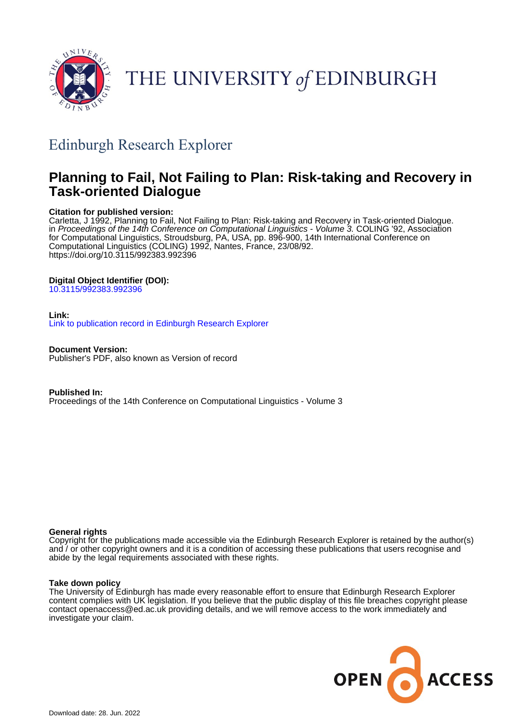

# THE UNIVERSITY of EDINBURGH

# Edinburgh Research Explorer

# **Planning to Fail, Not Failing to Plan: Risk-taking and Recovery in Task-oriented Dialogue**

# **Citation for published version:**

Carletta, J 1992, Planning to Fail, Not Failing to Plan: Risk-taking and Recovery in Task-oriented Dialogue. in Proceedings of the 14th Conference on Computational Linguistics - Volume 3. COLING '92, Association for Computational Linguistics, Stroudsburg, PA, USA, pp. 896-900, 14th International Conference on Computational Linguistics (COLING) 1992, Nantes, France, 23/08/92. <https://doi.org/10.3115/992383.992396>

# **Digital Object Identifier (DOI):**

[10.3115/992383.992396](https://doi.org/10.3115/992383.992396)

## **Link:**

[Link to publication record in Edinburgh Research Explorer](https://www.research.ed.ac.uk/en/publications/7d469a86-e677-4f94-b23e-23c4ef9de229)

**Document Version:** Publisher's PDF, also known as Version of record

**Published In:** Proceedings of the 14th Conference on Computational Linguistics - Volume 3

## **General rights**

Copyright for the publications made accessible via the Edinburgh Research Explorer is retained by the author(s) and / or other copyright owners and it is a condition of accessing these publications that users recognise and abide by the legal requirements associated with these rights.

### **Take down policy**

The University of Edinburgh has made every reasonable effort to ensure that Edinburgh Research Explorer content complies with UK legislation. If you believe that the public display of this file breaches copyright please contact openaccess@ed.ac.uk providing details, and we will remove access to the work immediately and investigate your claim.

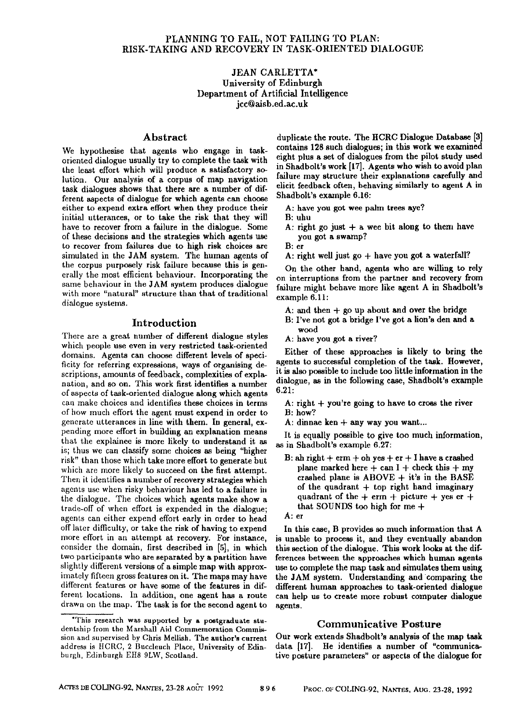#### JEAN CARLETTA\* University of Edinburgh Department of Artificial Intelligence jcc@aisb.ed.ac.uk

oriented dialogue usually try to complete the task with eight plus a set of dialogues from the pilot study used<br>the least effect which will produce a satisfactory so, in Shadbolt's work [17]. Agents who wish to avoid plan the least effort which will produce a satisfactory solution. Our analysis of a corpus of map navigation task dialogues shows that there are a number of different aspects of dialogue for which agents can choose either to expend extra effort when they produce their initial utterances, or to take the risk that they will have to recover from a failure in the dialogue. Some of these decisions and the strategies which agents use to recover from failures due to high risk choices are simulated in the JAM system. The human agents of the corpus purposely risk failure because this is generally the most efficient behaviour. Incorporating the same behaviour in the JAM system produces dialogue with more "natural" structure than that of traditional dialogue systems.

#### Introduction

There are a great number of different dialogue styles which people use even in very restricted task.oriented domains. Agents can choose different levels of specificity for referring expressions, ways of organising descriptions, amounts of feedback, complexities of explanation, and so on. This work first identifies a number of aspects of task-oriented dialogue along which agents can make choices and identifies these choices in terms of how much effort the agent must expend in order to generate utterances in line with them. In general, expending more effort in building an explanation means that the explainee is more likely to understand it as is; thus we can classify some choices as being "higher risk" than those which take more effort to generate but which are more likely to succeed on the first attempt. Then it identifies a number of recovery strategies which agents use when risky hehaviour has led to a failure in the dialogue. The choices which agents make show a trade-off of when effort is expended in the dialogue; agents can either expend effort early in order to head off later difficulty, or take the risk of having to expend more effort in an attempt at recovery. For instance, consider the domain, first described in [5], in which two participants who are separated by a partition have slightly different versions of a simple map with approximately fifteen gross features on it. The maps may have different features or have some of the features in different locations. In addition, one agent has a route drawn on the map. The task is for the second agent to

Abstract duplicate the route. The HCRC Dialogue Database [3]<br>t agents who engage in task contains 128 such dialogues; in this work we examined We hypothesise that agents who engage in task-<br>contained dialogue usually twite complete the took with eight plus a set of dialogues from the pilot study used failure may structure their explanations carefully and elicit feedback often, hehaving similarly to agent A in Shadbolt's example 6.16:

- A: have you got wee palm trees aye?
- B: uhu
- A: right go just  $+$  a wee bit along to them have you got a swamp?
- **B:** er
- A: right well just  $\mathbf{g}$ <sup>0</sup> + have you got a waterfall?

On the other hand, agents who are willing to rely on interruptions from the partner and recovery from failure might behave more like agent A in Shadbolt's example 6.11:

- A: and then  $+$  go up about and over the bridge
- B: I've not got a bridge I've got a lion's den and a wood
- A: have you got a river?

Either of these approaches is likely to bring the agents to successful completion of the task. However, it is also possible to include too little information in the dialogue, as in the following case, Shadholt's example 6.21:

- A: right  $+$  you're going to have to cross the river B: how?
- A: dinnae ken + any way you want...

It is equally possible to give too much information, as in Shadbolt's example 6.27:

 $B: ah right + erm + oh yes + er + I have a crashed$ plane marked here  $+$  can I + check this  $+$  my crashed plane is ABOVE + it's in the BASE of the quadrant  $+$  top right hand imaginary quadrant of the  $+$  erm  $+$  picture  $+$  yes er  $+$ that SOUNDS too high for me +



In this case, B provides so much information that A is unable to process it, and they eventually abandon this section of the dialogue. This work looks at the differences between the approaches which human agents use to complete the map task and simulates them using the JAM system. Understanding and comparing the different human approaches to task-oriented dialogue can help us to create more robust computer dialogue agents.

#### Communicative Posture

Our work extends Shadbolt's analysis of the map task data [17]. He identifies a number of "communicative posture parameters" or aspects of the dialogue for

<sup>\*</sup>This research was supported by a postgraduate studentship from the Marshall Aid Commemoration Commission and supervised by Chris Mellish. The author's current address is HCRC, 2 Buccleuch Place, University of Edinburgh, Edinburgh EH8 9LW, Scotland.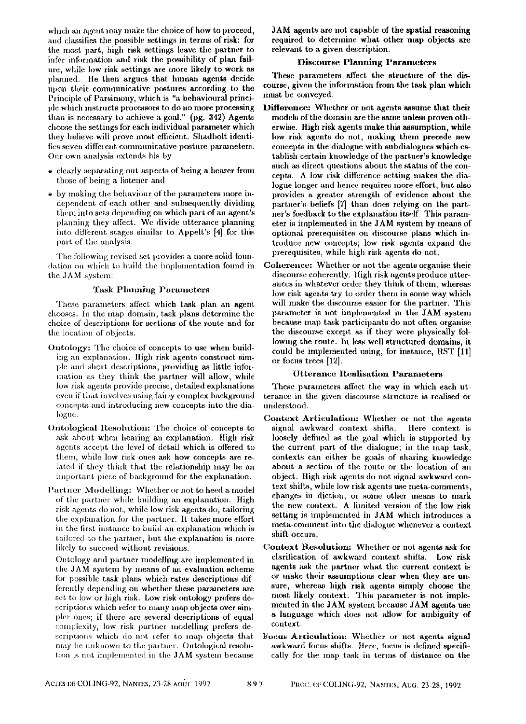which an agent may make the choice of how to proceed, and classifies the possible settings in terms of risk: for the most part, high risk settings leave the partner to infer information aml risk the possibility of plan failure, while low risk settings are more likely to work as planned. He then argues that human agents decide upon their communicative postures according to **the**  Principle of Parsimony, which is "a behavioural principie which instructs processors to do no more processing than is necessary to achieve a goal." (pg. 342) Agents choose the settings for each individual parameter which they believe will prove most etlicient. Shadbolt identifies seven different communicative posture parameters. Our own analysis extends his by

- clearly separating out aspects of being a hearer from those of being a listener and
- by making the behaviour of the parameters more independent of each other and subsequently dividing them into sets dcpcnding on which part of an agent's planning they affect. Wc divide utterance planning into different stages similar to Appelt's [4] for this part of the analysis.

The following revised set provides a more solid foundation on which to build the implementation found in the JAM system:

#### Task Planning Parameters

These parameters affect which task plan an agent chooses. In the map domain, task plans determine the choice of descriptions for sections of the route and for the location of objects.

- Ontology: Thc choice of concepts to use when building an explanation. High risk agents construct simple and short descriptions, providing as little information as they think the partner will allow, while low risk agents provide precise, detailed explanations even if that involves using fairly complex background concepts and introducing new concepts into the dialogue.
- Ontological Resolution: The choice of concepts to ask about when hearing an explanation. High risk agents accept the level of detail which is offered to them, wbile low risk ones ask how concepts are related if they think that the relationship may be an important piece of background for the explanation.
- Partner Modelling: Whether or not to heed a model of the partner while building an explanation. High risk agents do not, while low risk agents do, tailoring the explanation for the partner. It takes more effort in the first instance to build an explanation which is tailored to the partner, but the explanation is more likely to succeed without revisions.

Ontology and partner modelling are implemented in the JAM system by means of an evaluation scheme for possible task plans which rates descriptions differently depending on whether these parameters are set to low or high risk. Low risk ontology prefers descriptions which refer to many map objects over simpler ones; if there arc sevcral descriptions of equal complexity, low risk partner modelling prefers descriptions which do not refer to map objects that may be unknown to the partner. Ontological resolution is not implemented in the JAM system because

JAM agents are not capable of the spatial reasoning required to determine what other map objects are relevaat to a given description.

#### Discourse Planning Parameters

These parameters affect the structure of the discourse, given the information from the task plan which numt be conveyed.

Difference: Whether or not agents assume that their models of the domain are the same unless proven otherwise. High risk agents make this assumption, while low risk agents do not, making them precede new concepts in the dialogue with subdialogues which establish certain knowledge of the partner's knowledge such as direct questions about the status of the concepts. A low risk difference setting makes the dialogue longer and hence requires more effort, but also provides a greater strength of evidence about **the**  partner's beliefs [7] than does relying on the parther's feedback to the explanation itself. This parameter is implemented in the JAM system by means of optional prerequisites on discourse plans which introduce new concepts; low risk agents expand the prerequisites, while high risk agents do not.

Coherence: Whether or not the agents organise their discourse coherently. High risk agents produce utterances in whatever order they think of them, whereas low risk agents try to order them in some way which will make the discourse easier for the partner. This parameter is not implemented in the JAM system because map task participants do not often organise the discourse except as if they were physically following the route. In less well structured domains, it could be implemented using, for instance, RST [11] or focus trees [12].

#### Utterance Reallsation Parameters

These parameters affect the way in which each utterance in the given discourse structure is realised or understood.

- Context Articulation: Whether or not the agents<br>signal awkward context shifts. Here context is signal awkward context shifts. loosely defined as the goal which is supported by the current part of the dialogue; in the map task, contexts can either be goals of sharing knowledge about a section of the route or the location of an object, tligh risk agents do not signal awkward context shifts, while low risk agents use meta-comments, changes in diction, or some other means to mark the new context. A limited version of the low risk setting is implemented in JAM which introduces a meta-comment into the dialogue whenever a context shift occurs.
- Context Resolution: Whether or not agents ask for clarification of awkward context shifts. Low risk agents ask the partner what the current context is or make their assumptions clear when they are unsure, whereas high risk agents simply choose the most likely context. This parameter is not implemented in the JAM system because JAM agents use a language which does not allow for ambiguity of context.
- Focus Articulation: Whether or not agents signal awkward focus shifts. Here, focus is defined specifically for the map task in terms of distance on the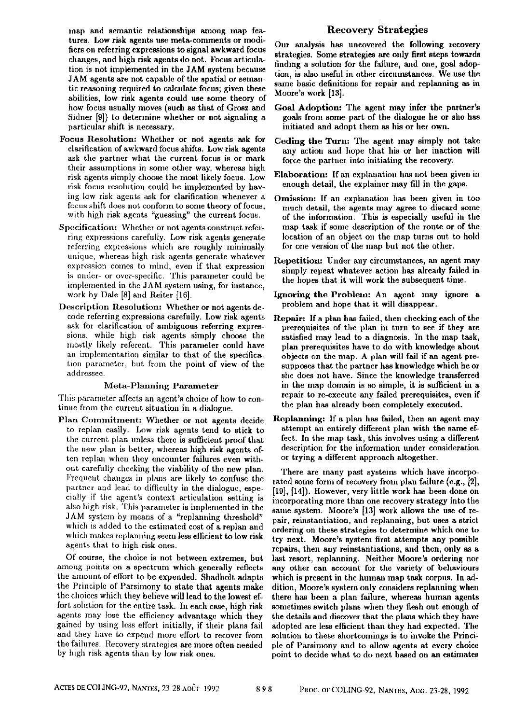map and semantic relationships among map features. Low risk agents use meta-comments or moditiers on referring expressions to signal awkward focus changes, and high risk agents do not. Focus articula~ tion is not implemented in the JAM system because JAM agents are not capable of the spatial or semantic reasoning required to calculate focus; given these abilities, low risk agents could use some theory of how focus usually moves (such as that of Grosz and Sidner [9]) to determine whether or not signaling a particular shift is necessary.

- Focus Resolution: Whether or not agents ask for clarification of awkward focus shifts. Low risk agents ask the partner what the current focus is or mark their assumptions in some other way, whereas high risk agents simply choose the most likely focus. Low risk focus resolution could be implemented by haying low risk agents ask for clarification whenever a focus shift does not conform to some theory of focus. with high risk agents "guessing" the current focus.
- Specification: Whether or not agents construct referring expressions carefully. Low risk agents generate referring expressions which are roughly minimally unique, whereas high risk agents generate whatever expression comes to mind, even if that expression is under- or over-specific. This parameter could be implemented in the JAM system nsing, for instance, work by Dale [8] and Reiter [16].
- Description Resolution: Whether or not agents decode referring expressions carefully. Low risk agents ask for clarification of ambiguous referring expressions, while high risk agents simply choose the mostly likely referent. This parameter could have an implementation similar to that of the specification parameter, but from the point of view of the addressee.

#### Meta-Planning Parameter

This parameter affects an agent's choice of how to continue from the current situation in a dialogue.

Plan Commitment: Whether or not agents decide to replan easily. Low risk agents tend to stick to the current plan unless there is sufficient proof that the new plan is better, whereas high risk agents often replan when they encounter failures even without carefully checking the viability of the new plan. Frequent changes in plans are likely to confuse the partner and lead to difficulty in the dialogue, especially if the agent's context articulation setting is also high risk. This parameter is implemented in the JAM system by means of a "replanning threshold" which is added to the estimated cost of a replan and which makes replanning seem less efficient to low risk agents that to high risk ones.

Of course, the choice is not between extremes, but among points on a spectrum which generally reflects the amount of effort to be expended. Shadbolt adapts the Principle of Parsimony to state that agents make the choices which they believe will lead to the lowest effort solution for the entire task. In each case, high risk agents may lose the efficiency advantage which they gained by using less effort initially, if their plans fail and they have to expend more effort to recover from the failures. Recovery strategies are more often needed by high risk agents than by low risk ones.

### Recovery Strategies

Our analysis has uncovered the following recovery strategies. Some strategies are only first steps towards finding a solution for the failure, and one, goal adoption, is also useful in other circumstances. We use the same basic definitions for repair and replanning as in Moore's work [13].

- Goal Adoption: The agent may infer the partner's goals from some part of the dialogue he or she has initiated and adopt them as his or her own.
- Ceding the Turn: The agent may simply not take any action and hope that his or her inaction will force the partner into initiating the recovery.
- Elaboration: If an explanation has not been given in enough detail, the explainer may fill in the gaps.
- Omission: If an explanation has been given in too nmch detail, the agents may agree to discard some of the information. This is especially useful in the map task if some description of the route or of the location of an object on the map turns out to hold for one version of the map but not the other.
- Repetition: Under any circumstances, an agent may simply repeat whatever action has already failed in the hopes that it will work the subsequent time.
- Ignoring the Problean: An agent may ignore a problem and hope that it will disappear.
- Repair: If a plan has failed, then checking each of the prerequisites of the plan in turn to see if they are satisfied may lead to a diagnosis. In the map task, plan prerequisites have to do with knowledge about objects on the map. A plan will fail if an agent presupposes that the partner has knowledge which he or she does not have. Since the knowledge transferred in the map domain is so simple, it is sufficient in a repair to re-execute any failed prerequisites, even if the plan has already been completely executed.
- Replanning: If a plan has failed, then an agent may attempt an entirely different plan with the same effect. In the map task, this involves using a different description for the information under consideration or trying a different approach altogether.

There are many past systems which have incorporated some form of recovery from plan failure (e.g., [2], [19], [14]). However, very little work has been done on incorporating more than one recovery strategy into the same system. Moore's [13] work allows the use of repair, reinstantiation, aud replanning, but uses a strict ordering on these strategies to determine which one to try next. Moore's system first attempts any poesible repairs, then any reinstantiations, and then, only as a last resort, replanning. Neither Moore's ordering nor any other can account for the variety of behaviours which is present in the human map task corpus. In addition, Moore's system only considers replanning when there has been a plan failure, whereas human agents sometimes switch plans when they flesh out enough of the details and discover that the plans which they have adopted are leas efficient than they had expected. The solution to these shortcomings is to invoke the Principle of Parsimony and to allow agents at every choice point to decide what to do next based on an estimates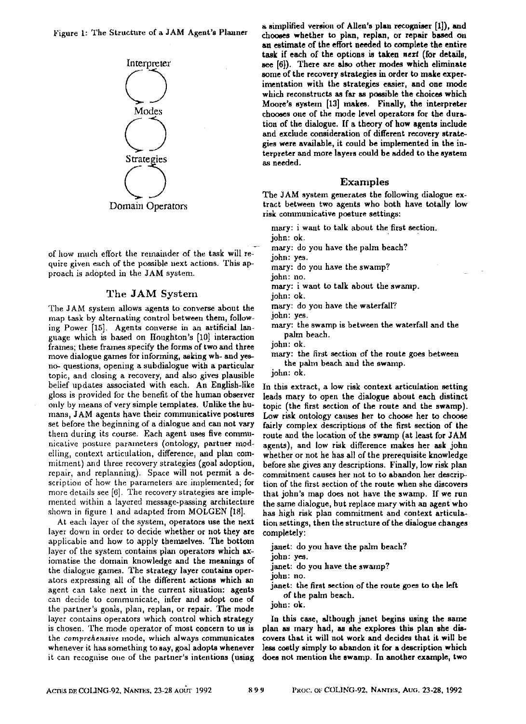Figure 1: The Structure of a JAM Agent's Planner



of how much effort the remainder of the task will require given each of the possible next actions. This approach is adopted in the JAM system.

#### The JAM System

The JAM system allows agents to converse about the map task by alternating control between them, following Power [15]. Agents converse in an artificial languagc which is based on Houghton's [10] interaction frames; these frames specify the forms of two and three move dialogue games for informing, asking wh- and yesno- questions, opening a subdialogue with a particular topic, and closing a recovery, and also gives plausible belief updates associated with each. An English-like gloss is provided for the benefit of the human observer only by means of very simple templates. Unlike the humans, JAM agents have their conununicative postures set before the beginning of a dialogue and can not vary them during its course. Each agent uses five communicative posture parameters (ontology, partner modelling, context articulation, difference, and plan commitment) and three recovery strategies (goal adoption, repair, and replanning). Space will not permit a description of how the parameters arc implemented; for more details see [6]. The recovery strategies are implemented within a layered message-passing architecture shown in figure I and adapted from MOLGEN [18].

At each layer of the system, operators use the next layer down in order to decide whether or not they **arc**  applicable and how to apply themselves. The bottom layer of the system contains plan operators which axiomatise the domain knowledge and the meanings of the dialogue games. The strategy layer contains operators expressing all of the different actions which an agent can take next in the current situation: agents can decide to communicate, infer and adopt one of the partner's goals, plan, replan, or repair. The mode layer contains operators which control which strategy is chosen. The mode operator of most concern to us is the *comprehensive* mode, which always communicates whenever it has something to say, goal adopts whenever it can recognise one of the partner's intentions (using

a siraplified version of Allen's plan recogniser [1]), and chooses whether to plan, replan, or repair based on an estimate of the effort needed to complete the **entire**  task if each of the options is taken next (for details, see [6]). There are also other modes which eliminate some of the recovery strategies in order to **make experimentation** with the strategies easier, and one mode which reconstructs as far as possible the choices which Moore's system [13] makes. Finally, the interpreter chooses one of the mode level operators for the duration of the dialogue. If a theory of how agents include and exclude consideration of different recovery strategies were available, it could be implemented in the interpreter and more layers could be added to the system as needed.

#### Examples

The JAM system generates the following dialogue extract between two agents who both have totally low risk communicative posture settings:

mary: i want to talk about the first section.

john: ok.

mary: do you have the palm beach?

john: yes.

mary: do you have the swamp?

john: no.

mary: i want to talk about the swamp.

john: ok.

mary: do you have the waterfall?

john: yes.

mary: the swamp is between the waterfall and the palm beach.

john: ok.

mary: the first section of the route goes between the palm beach and the swamp.

john: ok.

In this extract, a low risk context articulation setting leads mary to open the dialogue about each distinct topic (the first section of the route and the swamp). Low risk ontology causes her to choose her to choose fairly complex descriptions of the first section of the route and the location of the swamp (at least for JAM agents), and low risk difference makes her ask john whether or not he has all of the prerequisite knowledge before she gives any descriptions. Finally, low risk plan commitment causes her not to to abandon her description of the first section of the route when she discovers that john's map does not have the swamp. If we run the same dialogue, but replace mary with an agent who has high risk plan commitment and context articulation settings, then the structure of the dialogue changes completely:

janet: do you have the palm beach?

john: yes.

janet: do you have the swamp?

john: no.

janet: the first section of the route goes to the left

of the palm beach.

john: ok.

In this case, although janet begins using the same plan as mary had, as she explores this plan she discovers that it will not work and decides that it will be less costly simply to abandon it for a description which does not mention the **swamp. In** another example, two